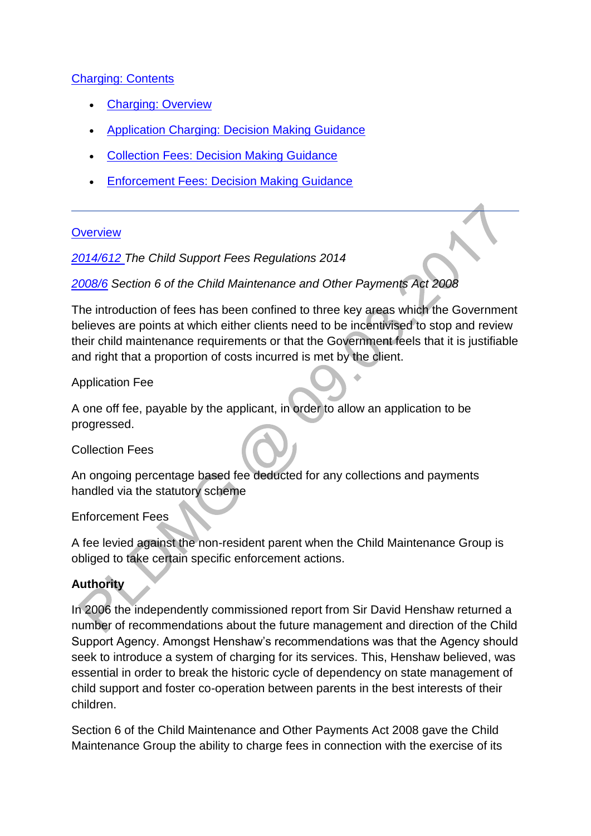### [Charging: Contents](http://np-cmg-sharepoint.link2.gpn.gov.uk/sites/policy-law-and-decision-making-guidance/Pages)

- [Charging: Overview](http://np-cmg-sharepoint.link2.gpn.gov.uk/sites/policy-law-and-decision-making-guidance/Pages/Charging.aspx#Overview)
- [Application Charging: Decision Making Guidance](http://np-cmg-sharepoint.link2.gpn.gov.uk/sites/policy-law-and-decision-making-guidance/Pages/Charging.aspx#Application%20Fee%3a%20Decision%20Making%20Guidance)
- [Collection Fees: Decision Making Guidance](http://np-cmg-sharepoint.link2.gpn.gov.uk/sites/policy-law-and-decision-making-guidance/Pages/Charging.aspx#%20Collection%20Fees%3a%20Decision%20Making%20Guidance)
- [Enforcement Fees: Decision Making Guidance](http://np-cmg-sharepoint.link2.gpn.gov.uk/sites/policy-law-and-decision-making-guidance/Pages/Charging.aspx#Enforcement%20Fees%3a%20Decision%20Making%20Guidance)

#### **[Overview](http://np-cmg-sharepoint.link2.gpn.gov.uk/sites/policy-law-and-decision-making-guidance/Pages/Charging.aspx?ControlMode=Edit&DisplayMode=Design)**

### *[2014/612 T](http://www.legislation.gov.uk/uksi/2014/612/contents/made)he Child Support Fees Regulations 2014*

# *[2008/6](http://www.legislation.gov.uk/ukpga/2008/6/contents) Section 6 of the Child Maintenance and Other Payments Act 2008*

The introduction of fees has been confined to three key areas which the Government believes are points at which either clients need to be incentivised to stop and review their child maintenance requirements or that the Government feels that it is justifiable and right that a proportion of costs incurred is met by the client.

#### Application Fee

A one off fee, payable by the applicant, in order to allow an application to be progressed.

Collection Fees

An ongoing percentage based fee deducted for any collections and payments handled via the statutory scheme

Enforcement Fees

A fee levied against the non-resident parent when the Child Maintenance Group is obliged to take certain specific enforcement actions.

# **Authority**

In 2006 the independently commissioned report from Sir David Henshaw returned a number of recommendations about the future management and direction of the Child Support Agency. Amongst Henshaw's recommendations was that the Agency should seek to introduce a system of charging for its services. This, Henshaw believed, was essential in order to break the historic cycle of dependency on state management of child support and foster co-operation between parents in the best interests of their children.

Section 6 of the Child Maintenance and Other Payments Act 2008 gave the Child Maintenance Group the ability to charge fees in connection with the exercise of its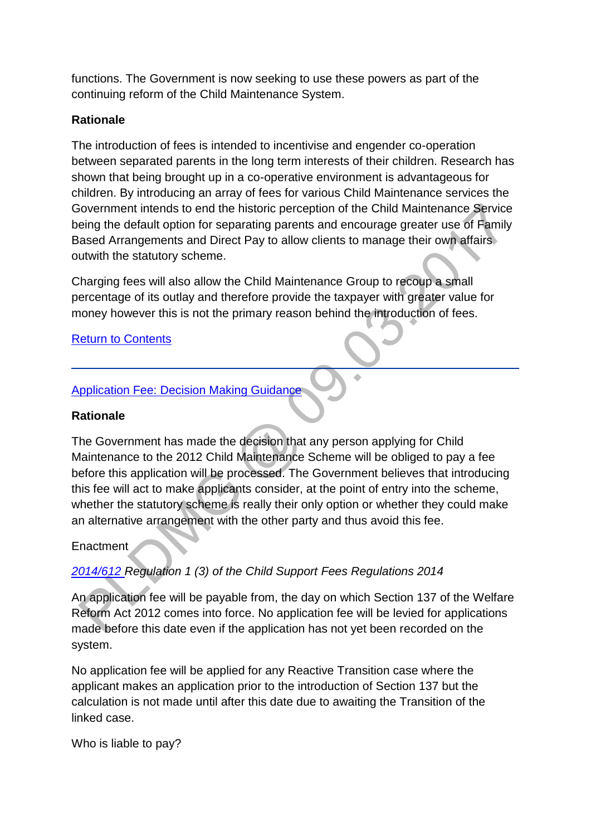functions. The Government is now seeking to use these powers as part of the continuing reform of the Child Maintenance System.

### **Rationale**

The introduction of fees is intended to incentivise and engender co-operation between separated parents in the long term interests of their children. Research has shown that being brought up in a co-operative environment is advantageous for children. By introducing an array of fees for various Child Maintenance services the Government intends to end the historic perception of the Child Maintenance Service being the default option for separating parents and encourage greater use of Family Based Arrangements and Direct Pay to allow clients to manage their own affairs outwith the statutory scheme.

Charging fees will also allow the Child Maintenance Group to recoup a small percentage of its outlay and therefore provide the taxpayer with greater value for money however this is not the primary reason behind the introduction of fees.

### [Return to Contents](http://np-cmg-sharepoint.link2.gpn.gov.uk/sites/policy-law-and-decision-making-guidance/Pages/Charging.aspx#Contents)

### [Application Fee: Decision Making Guidance](http://np-cmg-sharepoint.link2.gpn.gov.uk/sites/policy-law-and-decision-making-guidance/Pages/Charging.aspx?ControlMode=Edit&DisplayMode=Design)

#### **Rationale**

The Government has made the decision that any person applying for Child Maintenance to the 2012 Child Maintenance Scheme will be obliged to pay a fee before this application will be processed. The Government believes that introducing this fee will act to make applicants consider, at the point of entry into the scheme, whether the statutory scheme is really their only option or whether they could make an alternative arrangement with the other party and thus avoid this fee.

#### **Enactment**

# *[2014/612 R](http://www.legislation.gov.uk/uksi/2014/612/contents/made)egulation 1 (3) of the Child Support Fees Regulations 2014*

An application fee will be payable from, the day on which Section 137 of the Welfare Reform Act 2012 comes into force. No application fee will be levied for applications made before this date even if the application has not yet been recorded on the system.

No application fee will be applied for any Reactive Transition case where the applicant makes an application prior to the introduction of Section 137 but the calculation is not made until after this date due to awaiting the Transition of the linked case.

Who is liable to pay?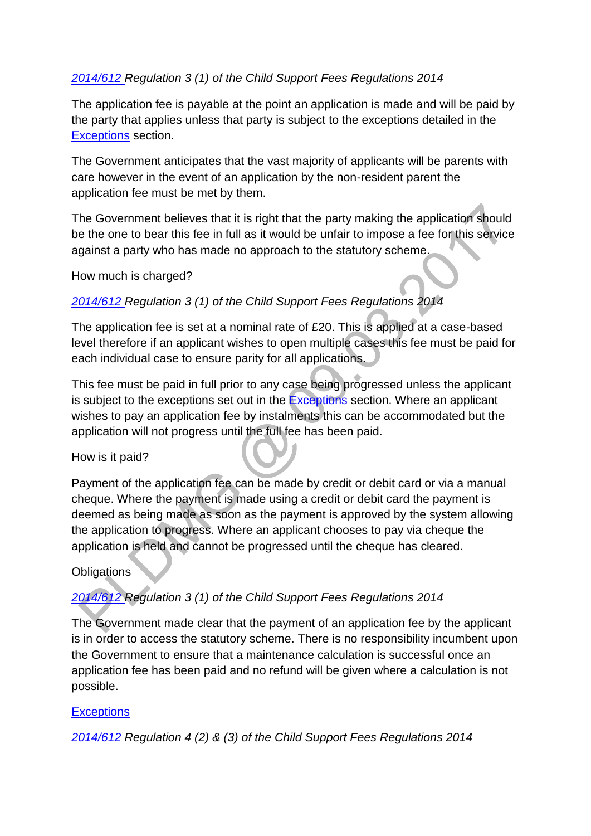# *[2014/612 R](http://www.legislation.gov.uk/uksi/2014/612/contents/made)egulation 3 (1) of the Child Support Fees Regulations 2014*

The application fee is payable at the point an application is made and will be paid by the party that applies unless that party is subject to the exceptions detailed in the [Exceptions](http://np-cmg-sharepoint.link2.gpn.gov.uk/sites/policy-law-and-decision-making-guidance/Pages/Charging.aspx#Exceptions) section.

The Government anticipates that the vast majority of applicants will be parents with care however in the event of an application by the non-resident parent the application fee must be met by them.

The Government believes that it is right that the party making the application should be the one to bear this fee in full as it would be unfair to impose a fee for this service against a party who has made no approach to the statutory scheme.

How much is charged?

### *[2014/612 R](http://www.legislation.gov.uk/uksi/2014/612/contents/made)egulation 3 (1) of the Child Support Fees Regulations 2014*

The application fee is set at a nominal rate of £20. This is applied at a case-based level therefore if an applicant wishes to open multiple cases this fee must be paid for each individual case to ensure parity for all applications.

This fee must be paid in full prior to any case being progressed unless the applicant is subject to the exceptions set out in the **Exceptions** section. Where an applicant wishes to pay an application fee by instalments this can be accommodated but the application will not progress until the full fee has been paid.

How is it paid?

Payment of the application fee can be made by credit or debit card or via a manual cheque. Where the payment is made using a credit or debit card the payment is deemed as being made as soon as the payment is approved by the system allowing the application to progress. Where an applicant chooses to pay via cheque the application is held and cannot be progressed until the cheque has cleared.

#### **Obligations**

# *[2014/612 R](http://www.legislation.gov.uk/uksi/2014/612/contents/made)egulation 3 (1) of the Child Support Fees Regulations 2014*

The Government made clear that the payment of an application fee by the applicant is in order to access the statutory scheme. There is no responsibility incumbent upon the Government to ensure that a maintenance calculation is successful once an application fee has been paid and no refund will be given where a calculation is not possible.

#### **[Exceptions](http://np-cmg-sharepoint.link2.gpn.gov.uk/sites/policy-law-and-decision-making-guidance/Pages/Charging.aspx)**

*[2014/612 R](http://www.legislation.gov.uk/uksi/2014/612/contents/made)egulation 4 (2) & (3) of the Child Support Fees Regulations 2014*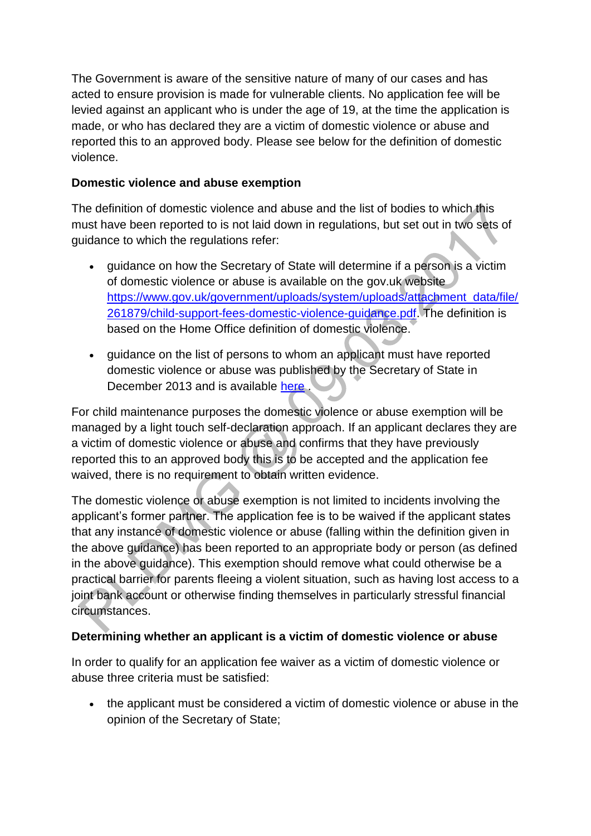The Government is aware of the sensitive nature of many of our cases and has acted to ensure provision is made for vulnerable clients. No application fee will be levied against an applicant who is under the age of 19, at the time the application is made, or who has declared they are a victim of domestic violence or abuse and reported this to an approved body. Please see below for the definition of domestic violence.

# **Domestic violence and abuse exemption**

The definition of domestic violence and abuse and the list of bodies to which this must have been reported to is not laid down in regulations, but set out in two sets of guidance to which the regulations refer:

- guidance on how the Secretary of State will determine if a person is a victim of domestic violence or abuse is available on the gov.uk website [https://www.gov.uk/government/uploads/system/uploads/attachment\\_data/file/](https://www.gov.uk/government/uploads/system/uploads/attachment_data/file/261879/child-support-fees-domestic-violence-guidance.pdf) [261879/child-support-fees-domestic-violence-guidance.pdf.](https://www.gov.uk/government/uploads/system/uploads/attachment_data/file/261879/child-support-fees-domestic-violence-guidance.pdf) The definition is based on the Home Office definition of domestic violence.
- guidance on the list of persons to whom an applicant must have reported domestic violence or abuse was published by the Secretary of State in December 2013 and is available [here](https://www.gov.uk/government/uploads/system/uploads/attachment_data/file/261882/child-support-fees-who-to-report-domestic-violence-to.pdf)

For child maintenance purposes the domestic violence or abuse exemption will be managed by a light touch self-declaration approach. If an applicant declares they are a victim of domestic violence or abuse and confirms that they have previously reported this to an approved body this is to be accepted and the application fee waived, there is no requirement to obtain written evidence.

The domestic violence or abuse exemption is not limited to incidents involving the applicant's former partner. The application fee is to be waived if the applicant states that any instance of domestic violence or abuse (falling within the definition given in the above guidance) has been reported to an appropriate body or person (as defined in the above guidance). This exemption should remove what could otherwise be a practical barrier for parents fleeing a violent situation, such as having lost access to a joint bank account or otherwise finding themselves in particularly stressful financial circumstances.

#### **Determining whether an applicant is a victim of domestic violence or abuse**

In order to qualify for an application fee waiver as a victim of domestic violence or abuse three criteria must be satisfied:

 the applicant must be considered a victim of domestic violence or abuse in the opinion of the Secretary of State;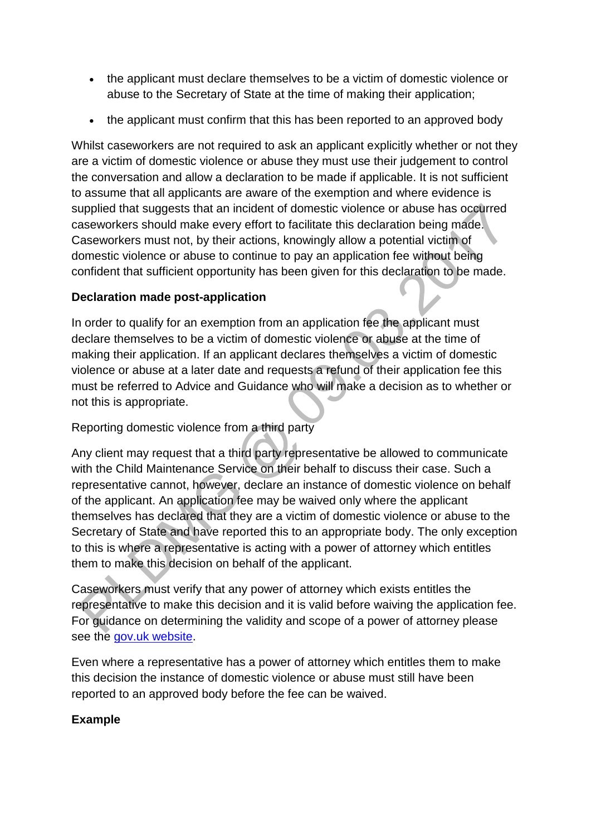- the applicant must declare themselves to be a victim of domestic violence or abuse to the Secretary of State at the time of making their application;
- the applicant must confirm that this has been reported to an approved body

Whilst caseworkers are not required to ask an applicant explicitly whether or not they are a victim of domestic violence or abuse they must use their judgement to control the conversation and allow a declaration to be made if applicable. It is not sufficient to assume that all applicants are aware of the exemption and where evidence is supplied that suggests that an incident of domestic violence or abuse has occurred caseworkers should make every effort to facilitate this declaration being made. Caseworkers must not, by their actions, knowingly allow a potential victim of domestic violence or abuse to continue to pay an application fee without being confident that sufficient opportunity has been given for this declaration to be made.

### **Declaration made post-application**

In order to qualify for an exemption from an application fee the applicant must declare themselves to be a victim of domestic violence or abuse at the time of making their application. If an applicant declares themselves a victim of domestic violence or abuse at a later date and requests a refund of their application fee this must be referred to Advice and Guidance who will make a decision as to whether or not this is appropriate.

# Reporting domestic violence from a third party

Any client may request that a third party representative be allowed to communicate with the Child Maintenance Service on their behalf to discuss their case. Such a representative cannot, however, declare an instance of domestic violence on behalf of the applicant. An application fee may be waived only where the applicant themselves has declared that they are a victim of domestic violence or abuse to the Secretary of State and have reported this to an appropriate body. The only exception to this is where a representative is acting with a power of attorney which entitles them to make this decision on behalf of the applicant.

Caseworkers must verify that any power of attorney which exists entitles the representative to make this decision and it is valid before waiving the application fee. For guidance on determining the validity and scope of a power of attorney please see the [gov.uk website.](https://www.gov.uk/government/uploads/system/uploads/attachment_data/file/226771/Part-04_Attorney.pdf)

Even where a representative has a power of attorney which entitles them to make this decision the instance of domestic violence or abuse must still have been reported to an approved body before the fee can be waived.

#### **Example**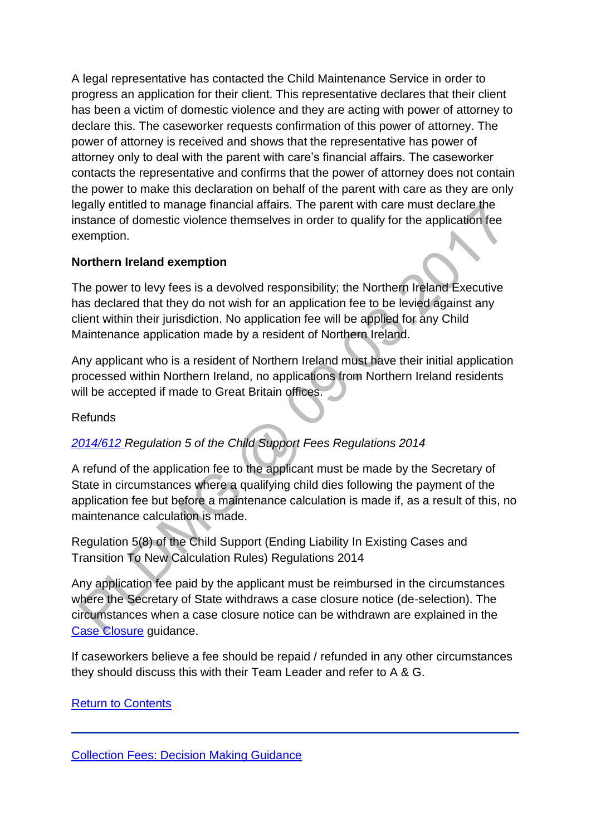A legal representative has contacted the Child Maintenance Service in order to progress an application for their client. This representative declares that their client has been a victim of domestic violence and they are acting with power of attorney to declare this. The caseworker requests confirmation of this power of attorney. The power of attorney is received and shows that the representative has power of attorney only to deal with the parent with care's financial affairs. The caseworker contacts the representative and confirms that the power of attorney does not contain the power to make this declaration on behalf of the parent with care as they are only legally entitled to manage financial affairs. The parent with care must declare the instance of domestic violence themselves in order to qualify for the application fee exemption.

### **Northern Ireland exemption**

The power to levy fees is a devolved responsibility; the Northern Ireland Executive has declared that they do not wish for an application fee to be levied against any client within their jurisdiction. No application fee will be applied for any Child Maintenance application made by a resident of Northern Ireland.

Any applicant who is a resident of Northern Ireland must have their initial application processed within Northern Ireland, no applications from Northern Ireland residents will be accepted if made to Great Britain offices.

#### Refunds

# *[2014/612 R](http://www.legislation.gov.uk/uksi/2014/612/contents/made)egulation 5 of the Child Support Fees Regulations 2014*

A refund of the application fee to the applicant must be made by the Secretary of State in circumstances where a qualifying child dies following the payment of the application fee but before a maintenance calculation is made if, as a result of this, no maintenance calculation is made.

Regulation 5(8) of the Child Support (Ending Liability In Existing Cases and Transition To New Calculation Rules) Regulations 2014

Any application fee paid by the applicant must be reimbursed in the circumstances where the Secretary of State withdraws a case closure notice (de-selection). The circumstances when a case closure notice can be withdrawn are explained in the [Case Closure](http://np-cmg-sharepoint.link2.gpn.gov.uk/sites/policy-law-and-decision-making-guidance/Pages/Case-Closure.aspx) guidance.

If caseworkers believe a fee should be repaid / refunded in any other circumstances they should discuss this with their Team Leader and refer to A & G.

#### [Return to Contents](http://np-cmg-sharepoint.link2.gpn.gov.uk/sites/policy-law-and-decision-making-guidance/Pages/Charging.aspx#Contents)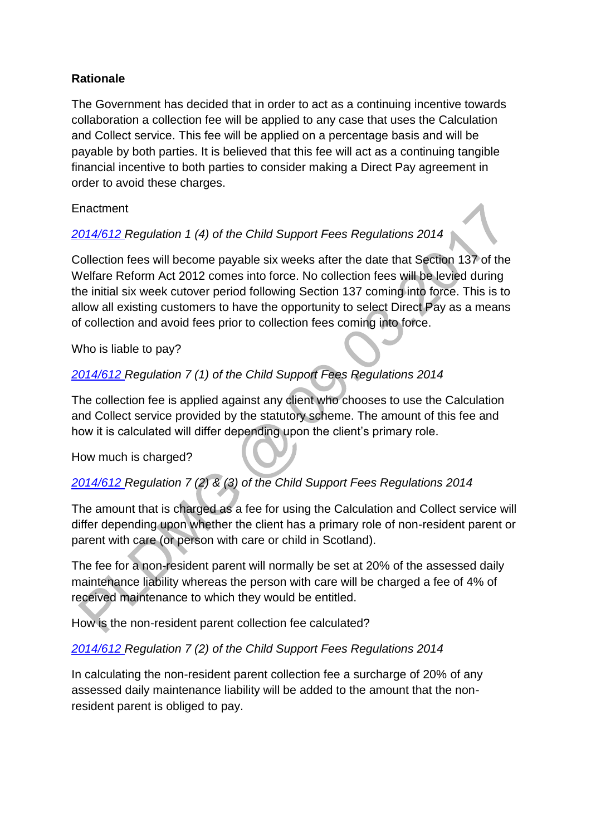### **Rationale**

The Government has decided that in order to act as a continuing incentive towards collaboration a collection fee will be applied to any case that uses the Calculation and Collect service. This fee will be applied on a percentage basis and will be payable by both parties. It is believed that this fee will act as a continuing tangible financial incentive to both parties to consider making a Direct Pay agreement in order to avoid these charges.

#### **Enactment**

### *[2014/612 R](http://www.legislation.gov.uk/uksi/2014/612/contents/made)egulation 1 (4) of the Child Support Fees Regulations 2014*

Collection fees will become payable six weeks after the date that Section 137 of the Welfare Reform Act 2012 comes into force. No collection fees will be levied during the initial six week cutover period following Section 137 coming into force. This is to allow all existing customers to have the opportunity to select Direct Pay as a means of collection and avoid fees prior to collection fees coming into force.

Who is liable to pay?

### *[2014/612 R](http://www.legislation.gov.uk/uksi/2014/612/contents/made)egulation 7 (1) of the Child Support Fees Regulations 2014*

The collection fee is applied against any client who chooses to use the Calculation and Collect service provided by the statutory scheme. The amount of this fee and how it is calculated will differ depending upon the client's primary role.

How much is charged?

# *[2014/612 R](http://www.legislation.gov.uk/uksi/2014/612/contents/made)egulation 7 (2) & (3) of the Child Support Fees Regulations 2014*

The amount that is charged as a fee for using the Calculation and Collect service will differ depending upon whether the client has a primary role of non-resident parent or parent with care (or person with care or child in Scotland).

The fee for a non-resident parent will normally be set at 20% of the assessed daily maintenance liability whereas the person with care will be charged a fee of 4% of received maintenance to which they would be entitled.

How is the non-resident parent collection fee calculated?

#### *[2014/612 R](http://www.legislation.gov.uk/uksi/2014/612/contents/made)egulation 7 (2) of the Child Support Fees Regulations 2014*

In calculating the non-resident parent collection fee a surcharge of 20% of any assessed daily maintenance liability will be added to the amount that the nonresident parent is obliged to pay.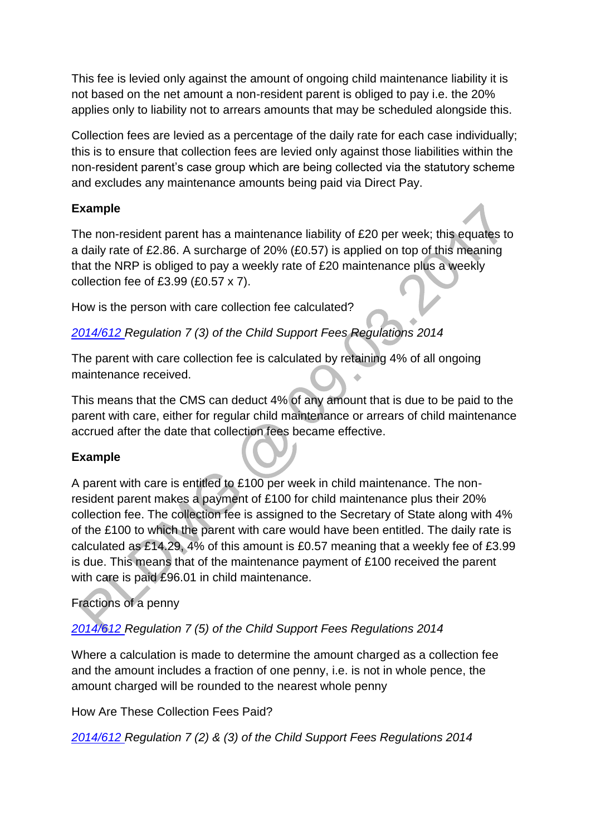This fee is levied only against the amount of ongoing child maintenance liability it is not based on the net amount a non-resident parent is obliged to pay i.e. the 20% applies only to liability not to arrears amounts that may be scheduled alongside this.

Collection fees are levied as a percentage of the daily rate for each case individually; this is to ensure that collection fees are levied only against those liabilities within the non-resident parent's case group which are being collected via the statutory scheme and excludes any maintenance amounts being paid via Direct Pay.

# **Example**

The non-resident parent has a maintenance liability of £20 per week; this equates to a daily rate of £2.86. A surcharge of 20% (£0.57) is applied on top of this meaning that the NRP is obliged to pay a weekly rate of £20 maintenance plus a weekly collection fee of £3.99 (£0.57 x 7).

How is the person with care collection fee calculated?

*[2014/612 R](http://www.legislation.gov.uk/uksi/2014/612/contents/made)egulation 7 (3) of the Child Support Fees Regulations 2014* 

The parent with care collection fee is calculated by retaining 4% of all ongoing maintenance received.

This means that the CMS can deduct 4% of any amount that is due to be paid to the parent with care, either for regular child maintenance or arrears of child maintenance accrued after the date that collection fees became effective.

# **Example**

A parent with care is entitled to £100 per week in child maintenance. The nonresident parent makes a payment of £100 for child maintenance plus their 20% collection fee. The collection fee is assigned to the Secretary of State along with 4% of the £100 to which the parent with care would have been entitled. The daily rate is calculated as £14.29, 4% of this amount is £0.57 meaning that a weekly fee of £3.99 is due. This means that of the maintenance payment of £100 received the parent with care is paid £96.01 in child maintenance.

# Fractions of a penny

*[2014/612 R](http://www.legislation.gov.uk/uksi/2014/612/contents/made)egulation 7 (5) of the Child Support Fees Regulations 2014* 

Where a calculation is made to determine the amount charged as a collection fee and the amount includes a fraction of one penny, i.e. is not in whole pence, the amount charged will be rounded to the nearest whole penny

How Are These Collection Fees Paid?

*[2014/612 R](http://www.legislation.gov.uk/uksi/2014/612/contents/made)egulation 7 (2) & (3) of the Child Support Fees Regulations 2014*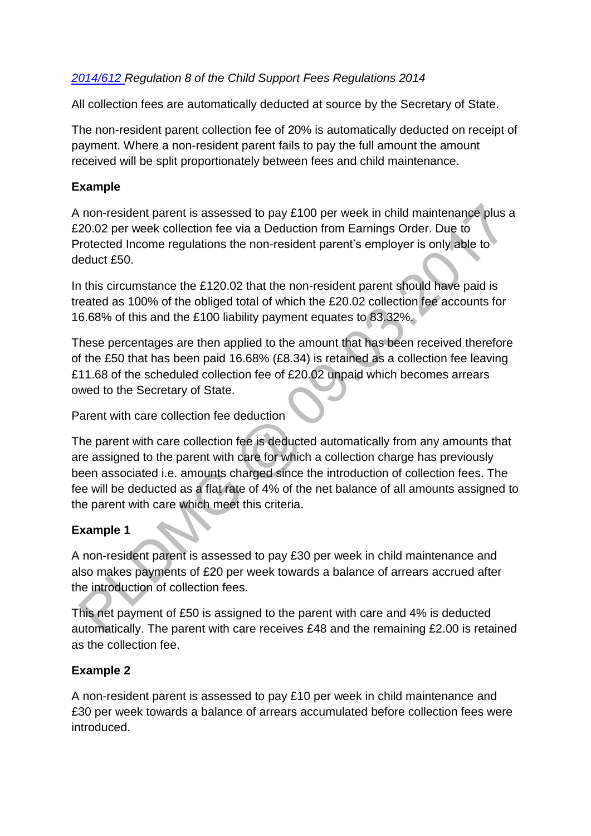## *[2014/612 R](http://www.legislation.gov.uk/uksi/2014/612/contents/made)egulation 8 of the Child Support Fees Regulations 2014*

All collection fees are automatically deducted at source by the Secretary of State.

The non-resident parent collection fee of 20% is automatically deducted on receipt of payment. Where a non-resident parent fails to pay the full amount the amount received will be split proportionately between fees and child maintenance.

### **Example**

A non-resident parent is assessed to pay £100 per week in child maintenance plus a £20.02 per week collection fee via a Deduction from Earnings Order. Due to Protected Income regulations the non-resident parent's employer is only able to deduct £50.

In this circumstance the £120.02 that the non-resident parent should have paid is treated as 100% of the obliged total of which the £20.02 collection fee accounts for 16.68% of this and the £100 liability payment equates to 83.32%.

These percentages are then applied to the amount that has been received therefore of the £50 that has been paid 16.68% (£8.34) is retained as a collection fee leaving £11.68 of the scheduled collection fee of £20.02 unpaid which becomes arrears owed to the Secretary of State.

Parent with care collection fee deduction

The parent with care collection fee is deducted automatically from any amounts that are assigned to the parent with care for which a collection charge has previously been associated i.e. amounts charged since the introduction of collection fees. The fee will be deducted as a flat rate of 4% of the net balance of all amounts assigned to the parent with care which meet this criteria.

#### **Example 1**

A non-resident parent is assessed to pay £30 per week in child maintenance and also makes payments of £20 per week towards a balance of arrears accrued after the introduction of collection fees.

This net payment of £50 is assigned to the parent with care and 4% is deducted automatically. The parent with care receives £48 and the remaining £2.00 is retained as the collection fee.

#### **Example 2**

A non-resident parent is assessed to pay £10 per week in child maintenance and £30 per week towards a balance of arrears accumulated before collection fees were introduced.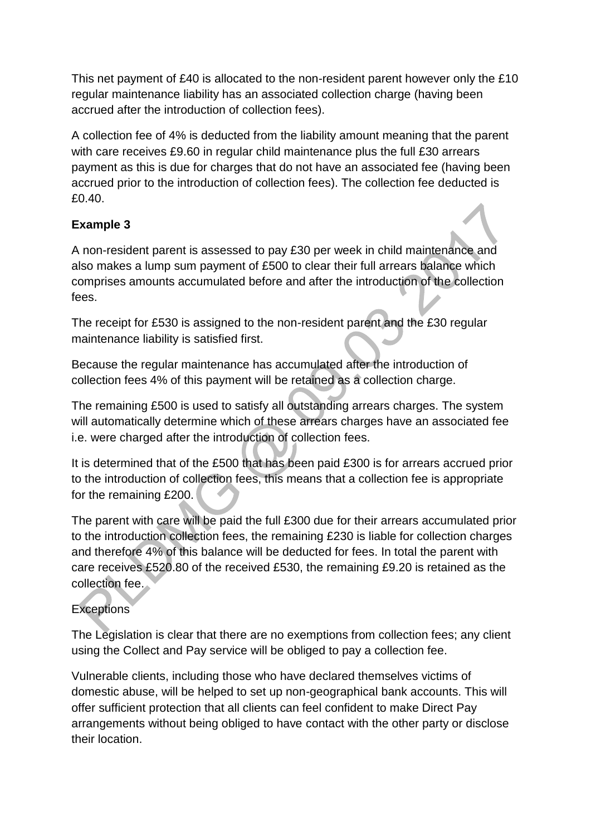This net payment of £40 is allocated to the non-resident parent however only the £10 regular maintenance liability has an associated collection charge (having been accrued after the introduction of collection fees).

A collection fee of 4% is deducted from the liability amount meaning that the parent with care receives £9.60 in regular child maintenance plus the full £30 arrears payment as this is due for charges that do not have an associated fee (having been accrued prior to the introduction of collection fees). The collection fee deducted is £0.40.

# **Example 3**

A non-resident parent is assessed to pay £30 per week in child maintenance and also makes a lump sum payment of £500 to clear their full arrears balance which comprises amounts accumulated before and after the introduction of the collection fees.

The receipt for £530 is assigned to the non-resident parent and the £30 regular maintenance liability is satisfied first.

Because the regular maintenance has accumulated after the introduction of collection fees 4% of this payment will be retained as a collection charge.

The remaining £500 is used to satisfy all outstanding arrears charges. The system will automatically determine which of these arrears charges have an associated fee i.e. were charged after the introduction of collection fees.

It is determined that of the £500 that has been paid £300 is for arrears accrued prior to the introduction of collection fees, this means that a collection fee is appropriate for the remaining £200.

The parent with care will be paid the full £300 due for their arrears accumulated prior to the introduction collection fees, the remaining £230 is liable for collection charges and therefore 4% of this balance will be deducted for fees. In total the parent with care receives £520.80 of the received £530, the remaining £9.20 is retained as the collection fee.

# **Exceptions**

The Legislation is clear that there are no exemptions from collection fees; any client using the Collect and Pay service will be obliged to pay a collection fee.

Vulnerable clients, including those who have declared themselves victims of domestic abuse, will be helped to set up non-geographical bank accounts. This will offer sufficient protection that all clients can feel confident to make Direct Pay arrangements without being obliged to have contact with the other party or disclose their location.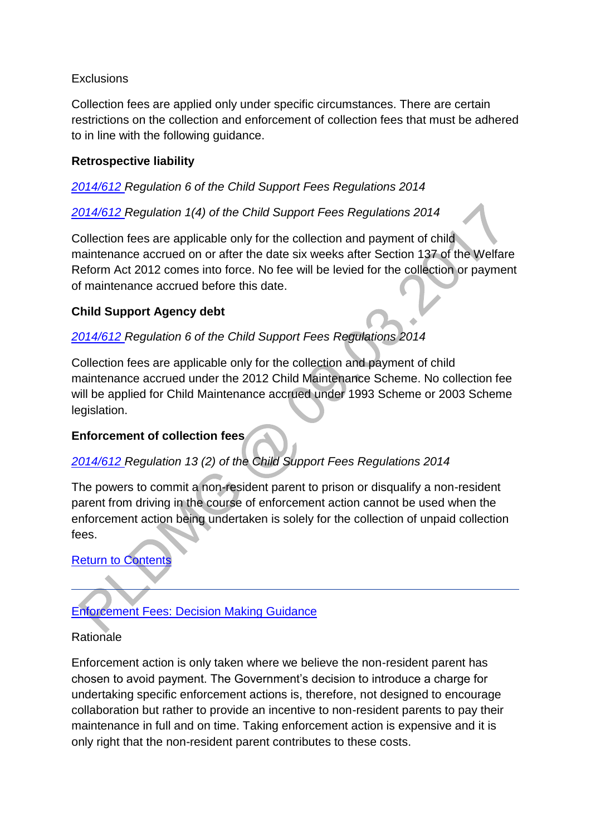#### **Exclusions**

Collection fees are applied only under specific circumstances. There are certain restrictions on the collection and enforcement of collection fees that must be adhered to in line with the following guidance.

#### **Retrospective liability**

### *[2014/612 R](http://www.legislation.gov.uk/uksi/2014/612/contents/made)egulation 6 of the Child Support Fees Regulations 2014*

### *[2014/612 R](http://www.legislation.gov.uk/uksi/2014/612/contents/made)egulation 1(4) of the Child Support Fees Regulations 2014*

Collection fees are applicable only for the collection and payment of child maintenance accrued on or after the date six weeks after Section 137 of the Welfare Reform Act 2012 comes into force. No fee will be levied for the collection or payment of maintenance accrued before this date.

#### **Child Support Agency debt**

# *[2014/612 R](http://www.legislation.gov.uk/uksi/2014/612/contents/made)egulation 6 of the Child Support Fees Regulations 2014*

Collection fees are applicable only for the collection and payment of child maintenance accrued under the 2012 Child Maintenance Scheme. No collection fee will be applied for Child Maintenance accrued under 1993 Scheme or 2003 Scheme legislation.

#### **Enforcement of collection fees**

# *[2014/612 R](http://www.legislation.gov.uk/uksi/2014/612/contents/made)egulation 13 (2) of the Child Support Fees Regulations 2014*

The powers to commit a non-resident parent to prison or disqualify a non-resident parent from driving in the course of enforcement action cannot be used when the enforcement action being undertaken is solely for the collection of unpaid collection fees.

[Return to Contents](http://np-cmg-sharepoint.link2.gpn.gov.uk/sites/policy-law-and-decision-making-guidance/Pages/Charging.aspx#Contents)

# [Enforcement Fees: Decision Making Guidance](http://np-cmg-sharepoint.link2.gpn.gov.uk/sites/policy-law-and-decision-making-guidance/Pages/Charging.aspx?ControlMode=Edit&DisplayMode=Design)

#### Rationale

Enforcement action is only taken where we believe the non-resident parent has chosen to avoid payment. The Government's decision to introduce a charge for undertaking specific enforcement actions is, therefore, not designed to encourage collaboration but rather to provide an incentive to non-resident parents to pay their maintenance in full and on time. Taking enforcement action is expensive and it is only right that the non-resident parent contributes to these costs.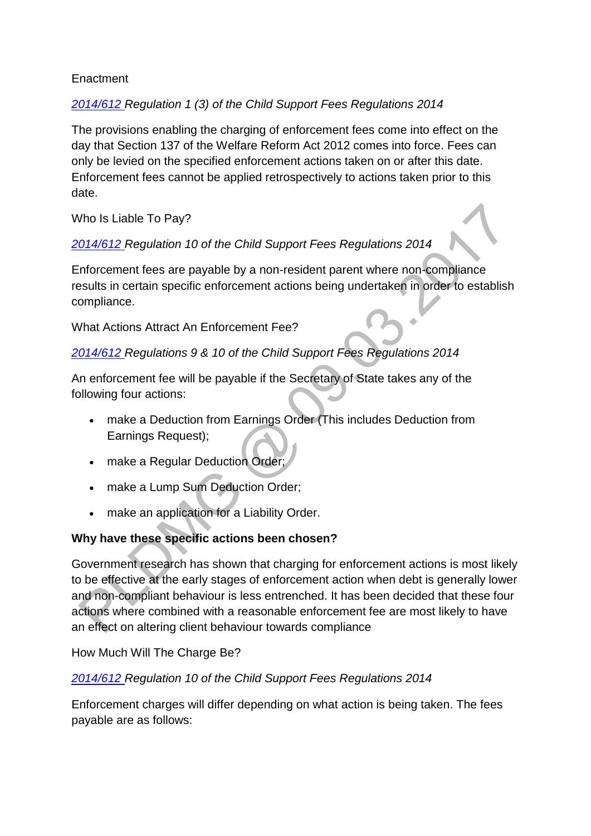#### **Enactment**

### *[2014/612 R](http://www.legislation.gov.uk/uksi/2014/612/contents/made)egulation 1 (3) of the Child Support Fees Regulations 2014*

The provisions enabling the charging of enforcement fees come into effect on the day that Section 137 of the Welfare Reform Act 2012 comes into force. Fees can only be levied on the specified enforcement actions taken on or after this date. Enforcement fees cannot be applied retrospectively to actions taken prior to this date.

Who Is Liable To Pay?

### *[2014/612 R](http://www.legislation.gov.uk/uksi/2014/612/contents/made)egulation 10 of the Child Support Fees Regulations 2014*

Enforcement fees are payable by a non-resident parent where non-compliance results in certain specific enforcement actions being undertaken in order to establish compliance.

What Actions Attract An Enforcement Fee?

### *[2014/612 R](http://www.legislation.gov.uk/uksi/2014/612/contents/made)egulations 9 & 10 of the Child Support Fees Regulations 2014*

An enforcement fee will be payable if the Secretary of State takes any of the following four actions:

- make a Deduction from Earnings Order (This includes Deduction from Earnings Request);
- make a Regular Deduction Order;
- make a Lump Sum Deduction Order;
- make an application for a Liability Order.

#### **Why have these specific actions been chosen?**

Government research has shown that charging for enforcement actions is most likely to be effective at the early stages of enforcement action when debt is generally lower and non-compliant behaviour is less entrenched. It has been decided that these four actions where combined with a reasonable enforcement fee are most likely to have an effect on altering client behaviour towards compliance

How Much Will The Charge Be?

#### *[2014/612 R](http://www.legislation.gov.uk/uksi/2014/612/contents/made)egulation 10 of the Child Support Fees Regulations 2014*

Enforcement charges will differ depending on what action is being taken. The fees payable are as follows: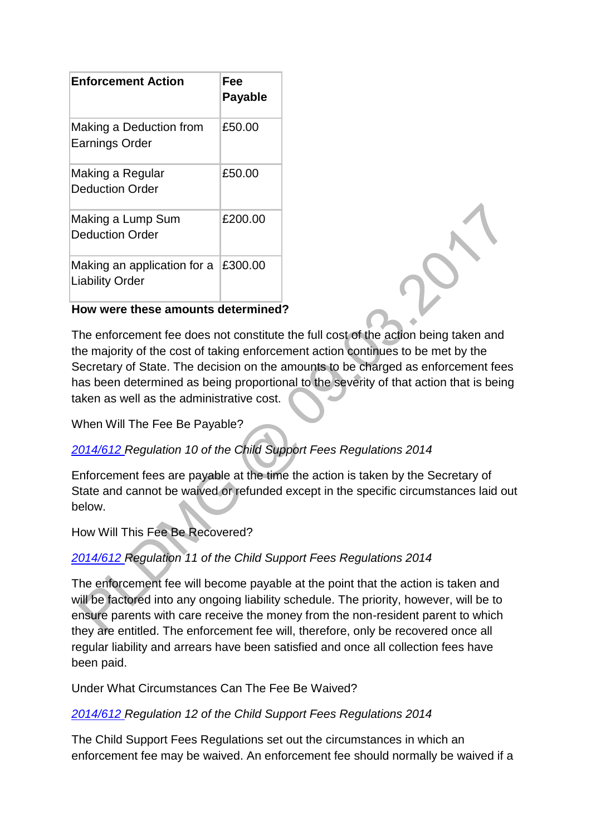| <b>Enforcement Action</b>                             | Fee<br><b>Payable</b> |
|-------------------------------------------------------|-----------------------|
| Making a Deduction from<br><b>Earnings Order</b>      | £50.00                |
| Making a Regular<br><b>Deduction Order</b>            | £50.00                |
| Making a Lump Sum<br><b>Deduction Order</b>           | £200.00               |
| Making an application for a<br><b>Liability Order</b> | £300.00               |

#### **How were these amounts determined?**

The enforcement fee does not constitute the full cost of the action being taken and the majority of the cost of taking enforcement action continues to be met by the Secretary of State. The decision on the amounts to be charged as enforcement fees has been determined as being proportional to the severity of that action that is being taken as well as the administrative cost.

When Will The Fee Be Payable?

# *[2014/612 R](http://www.legislation.gov.uk/uksi/2014/612/contents/made)egulation 10 of the Child Support Fees Regulations 2014*

Enforcement fees are payable at the time the action is taken by the Secretary of State and cannot be waived or refunded except in the specific circumstances laid out below.

How Will This Fee Be Recovered?

# *[2014/612 R](http://www.legislation.gov.uk/uksi/2014/612/contents/made)egulation 11 of the Child Support Fees Regulations 2014*

The enforcement fee will become payable at the point that the action is taken and will be factored into any ongoing liability schedule. The priority, however, will be to ensure parents with care receive the money from the non-resident parent to which they are entitled. The enforcement fee will, therefore, only be recovered once all regular liability and arrears have been satisfied and once all collection fees have been paid.

Under What Circumstances Can The Fee Be Waived?

#### *[2014/612 R](http://www.legislation.gov.uk/uksi/2014/612/contents/made)egulation 12 of the Child Support Fees Regulations 2014*

The Child Support Fees Regulations set out the circumstances in which an enforcement fee may be waived. An enforcement fee should normally be waived if a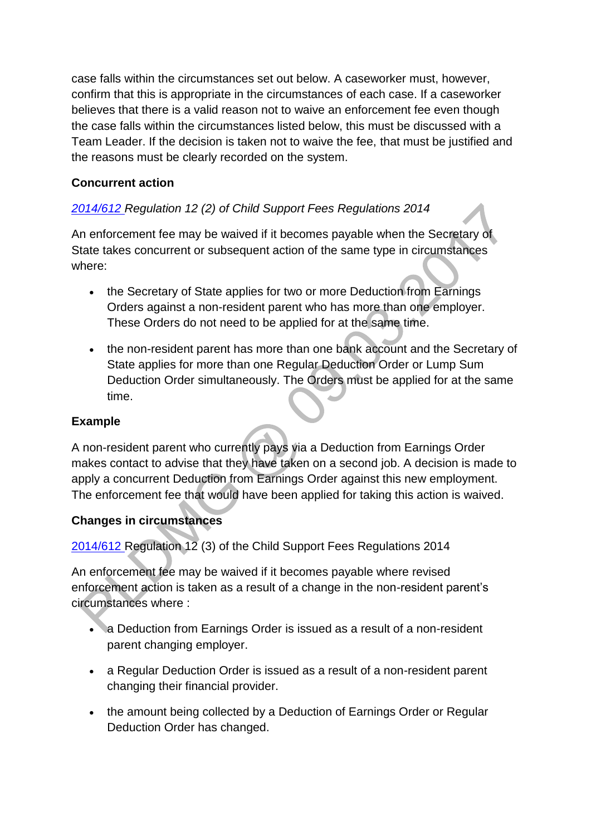case falls within the circumstances set out below. A caseworker must, however, confirm that this is appropriate in the circumstances of each case. If a caseworker believes that there is a valid reason not to waive an enforcement fee even though the case falls within the circumstances listed below, this must be discussed with a Team Leader. If the decision is taken not to waive the fee, that must be justified and the reasons must be clearly recorded on the system.

# **Concurrent action**

# *[2014/612 R](http://www.legislation.gov.uk/uksi/2014/612/contents/made)egulation 12 (2) of Child Support Fees Regulations 2014*

An enforcement fee may be waived if it becomes payable when the Secretary of State takes concurrent or subsequent action of the same type in circumstances where:

- the Secretary of State applies for two or more Deduction from Earnings Orders against a non-resident parent who has more than one employer. These Orders do not need to be applied for at the same time.
- the non-resident parent has more than one bank account and the Secretary of State applies for more than one Regular Deduction Order or Lump Sum Deduction Order simultaneously. The Orders must be applied for at the same time.

### **Example**

A non-resident parent who currently pays via a Deduction from Earnings Order makes contact to advise that they have taken on a second job. A decision is made to apply a concurrent Deduction from Earnings Order against this new employment. The enforcement fee that would have been applied for taking this action is waived.

# **Changes in circumstances**

[2014/612 R](http://www.legislation.gov.uk/uksi/2014/612/contents/made)egulation 12 (3) of the Child Support Fees Regulations 2014

An enforcement fee may be waived if it becomes payable where revised enforcement action is taken as a result of a change in the non-resident parent's circumstances where :

- a Deduction from Earnings Order is issued as a result of a non-resident parent changing employer.
- a Regular Deduction Order is issued as a result of a non-resident parent changing their financial provider.
- the amount being collected by a Deduction of Earnings Order or Regular Deduction Order has changed.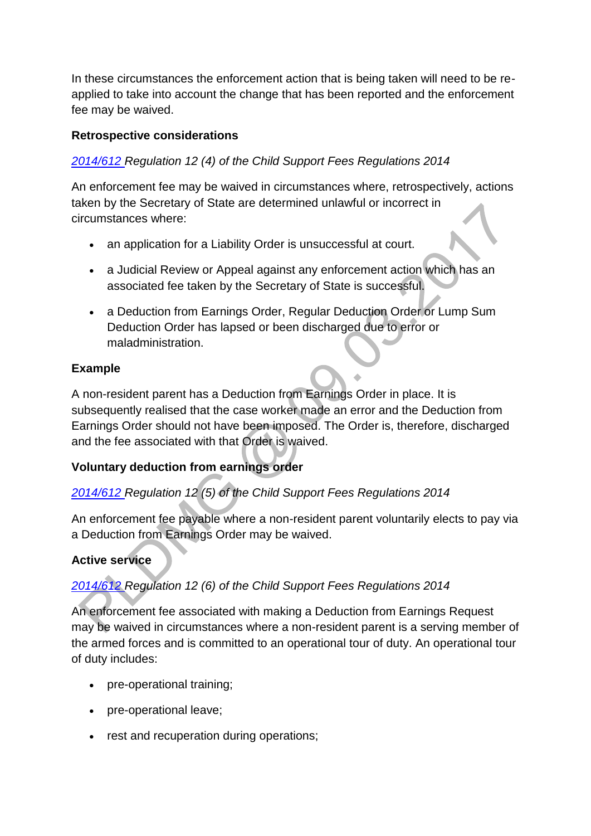In these circumstances the enforcement action that is being taken will need to be reapplied to take into account the change that has been reported and the enforcement fee may be waived.

#### **Retrospective considerations**

### *[2014/612 R](http://www.legislation.gov.uk/uksi/2014/612/contents/made)egulation 12 (4) of the Child Support Fees Regulations 2014*

An enforcement fee may be waived in circumstances where, retrospectively, actions taken by the Secretary of State are determined unlawful or incorrect in circumstances where:

- an application for a Liability Order is unsuccessful at court.
- a Judicial Review or Appeal against any enforcement action which has an associated fee taken by the Secretary of State is successful.
- a Deduction from Earnings Order, Regular Deduction Order or Lump Sum Deduction Order has lapsed or been discharged due to error or maladministration.

### **Example**

A non-resident parent has a Deduction from Earnings Order in place. It is subsequently realised that the case worker made an error and the Deduction from Earnings Order should not have been imposed. The Order is, therefore, discharged and the fee associated with that Order is waived.

# **Voluntary deduction from earnings order**

# *[2014/612 R](http://www.legislation.gov.uk/uksi/2014/612/contents/made)egulation 12 (5) of the Child Support Fees Regulations 2014*

An enforcement fee payable where a non-resident parent voluntarily elects to pay via a Deduction from Earnings Order may be waived.

#### **Active service**

# *[2014/612 R](http://www.legislation.gov.uk/uksi/2014/612/contents/made)egulation 12 (6) of the Child Support Fees Regulations 2014*

An enforcement fee associated with making a Deduction from Earnings Request may be waived in circumstances where a non-resident parent is a serving member of the armed forces and is committed to an operational tour of duty. An operational tour of duty includes:

- pre-operational training;
- pre-operational leave;
- rest and recuperation during operations;